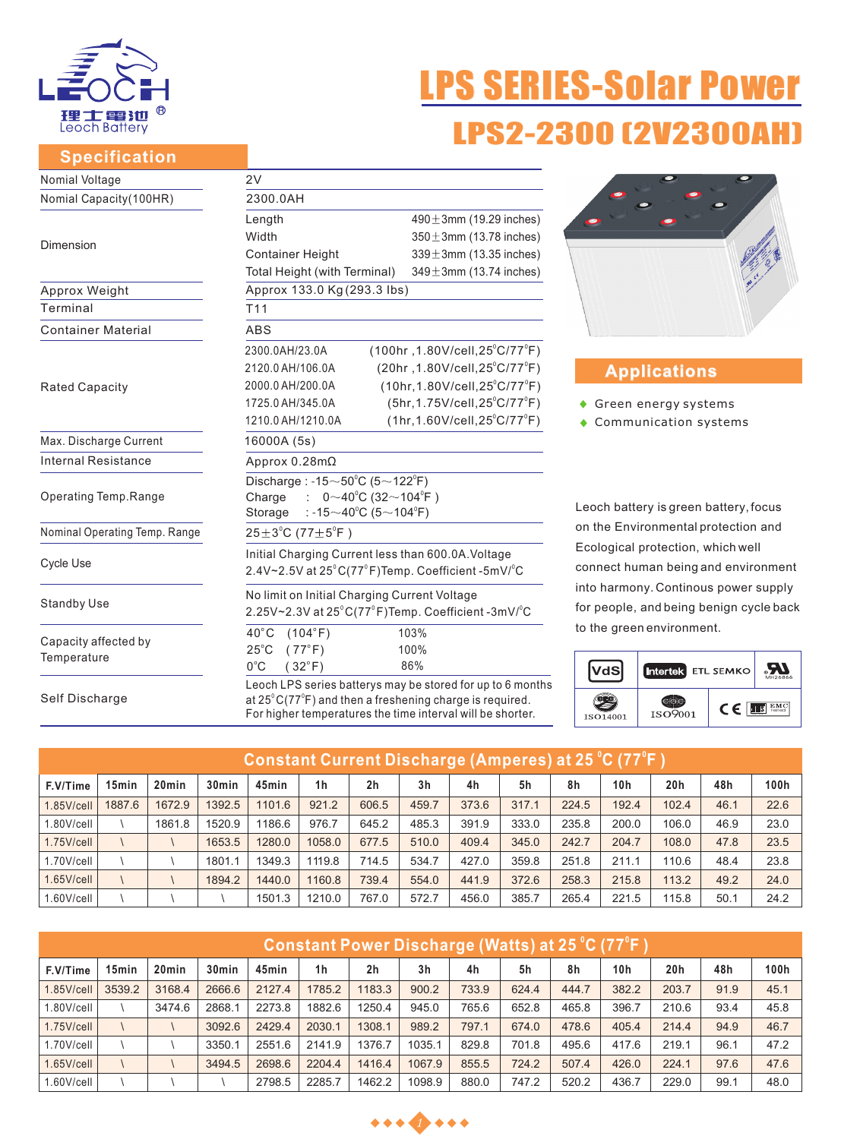

#### **Specification**

# 'S SERIES-Solar Power LPS2-2300 (2V2300

| Nomial Voltage                | 2V                                                                                                                                                                                                       |                                               |  |  |  |  |  |  |
|-------------------------------|----------------------------------------------------------------------------------------------------------------------------------------------------------------------------------------------------------|-----------------------------------------------|--|--|--|--|--|--|
| Nomial Capacity (100HR)       | 2300.0AH                                                                                                                                                                                                 |                                               |  |  |  |  |  |  |
|                               | Length                                                                                                                                                                                                   | $490 \pm 3$ mm (19.29 inches)                 |  |  |  |  |  |  |
| Dimension                     | Width                                                                                                                                                                                                    | $350 \pm 3$ mm (13.78 inches)                 |  |  |  |  |  |  |
|                               | <b>Container Height</b>                                                                                                                                                                                  | $339 \pm 3$ mm (13.35 inches)                 |  |  |  |  |  |  |
|                               | $349 \pm 3$ mm (13.74 inches)<br>Total Height (with Terminal)                                                                                                                                            |                                               |  |  |  |  |  |  |
| Approx Weight                 | Approx 133.0 Kg (293.3 lbs)                                                                                                                                                                              |                                               |  |  |  |  |  |  |
| Terminal                      | T <sub>11</sub>                                                                                                                                                                                          |                                               |  |  |  |  |  |  |
| <b>Container Material</b>     | <b>ABS</b>                                                                                                                                                                                               |                                               |  |  |  |  |  |  |
|                               | $(100hr, 1.80V/cell, 25^{\circ}C/77^{\circ}F)$<br>2300.0AH/23.0A                                                                                                                                         |                                               |  |  |  |  |  |  |
|                               | 2120.0 AH/106.0A                                                                                                                                                                                         | (20hr, 1.80V/cell, 25°C/77°F)                 |  |  |  |  |  |  |
| <b>Rated Capacity</b>         | 2000.0 AH/200.0A                                                                                                                                                                                         | $(10hr, 1.80V/cell, 25^{\circ}C/77^{\circ}F)$ |  |  |  |  |  |  |
|                               | 1725.0 AH/345.0A                                                                                                                                                                                         | $(5hr, 1.75V/cell, 25^{\circ}C/77^{\circ}F)$  |  |  |  |  |  |  |
|                               | $(1hr, 1.60V/cell, 25^{\circ}C/77^{\circ}F)$<br>1210.0 AH/1210.0A                                                                                                                                        |                                               |  |  |  |  |  |  |
| Max. Discharge Current        | 16000A (5s)                                                                                                                                                                                              |                                               |  |  |  |  |  |  |
| <b>Internal Resistance</b>    | Approx $0.28$ m $\Omega$                                                                                                                                                                                 |                                               |  |  |  |  |  |  |
|                               | Discharge: $-15 \sim 50^{\circ}$ C (5 $\sim$ 122 $^{\circ}$ F)                                                                                                                                           |                                               |  |  |  |  |  |  |
| Operating Temp.Range          | $0 \sim 40^{\circ}$ C (32 $\sim$ 104 $^{\circ}$ F)<br>Charge                                                                                                                                             |                                               |  |  |  |  |  |  |
|                               | : -15 $\sim$ 40°C (5 $\sim$ 104°F)<br>Storage                                                                                                                                                            |                                               |  |  |  |  |  |  |
| Nominal Operating Temp. Range | $25 \pm 3^{\circ}$ C (77 $\pm 5^{\circ}$ F)                                                                                                                                                              |                                               |  |  |  |  |  |  |
|                               | Initial Charging Current less than 600.0A. Voltage                                                                                                                                                       |                                               |  |  |  |  |  |  |
| Cycle Use                     | 2.4V~2.5V at 25°C(77°F)Temp. Coefficient -5mV/°C                                                                                                                                                         |                                               |  |  |  |  |  |  |
|                               | No limit on Initial Charging Current Voltage                                                                                                                                                             |                                               |  |  |  |  |  |  |
| <b>Standby Use</b>            | 2.25V~2.3V at 25°C(77°F)Temp. Coefficient -3mV/°C                                                                                                                                                        |                                               |  |  |  |  |  |  |
|                               | $40^{\circ}$ C<br>(104°F)                                                                                                                                                                                | 103%                                          |  |  |  |  |  |  |
| Capacity affected by          | $25^{\circ}$ C<br>(77°F)                                                                                                                                                                                 | 100%                                          |  |  |  |  |  |  |
| Temperature                   | $0^{\circ}$ C<br>$(32^{\circ}F)$                                                                                                                                                                         | 86%                                           |  |  |  |  |  |  |
| Self Discharge                | Leoch LPS series batterys may be stored for up to 6 months<br>at $25^{\circ}$ C(77 $^{\circ}$ F) and then a freshening charge is required.<br>For higher temperatures the time interval will be shorter. |                                               |  |  |  |  |  |  |



## **Applications**

- ◆ Green energy systems
- Communication systems

Leoch battery is green battery, focus on the Environmental protection and Ecological protection, which well connect human being and environment into harmony. Continous power supply for people, and being benign cycle back to the green environment.



|               | (Constant Current Discharge (Amperes) at 25 °C (77°F ) |                   |                   |        |        |                |                |       |       |       |       |       |      |      |
|---------------|--------------------------------------------------------|-------------------|-------------------|--------|--------|----------------|----------------|-------|-------|-------|-------|-------|------|------|
| F.V/Time      | 15 <sub>min</sub>                                      | 20 <sub>min</sub> | 30 <sub>min</sub> | 45min  | 1h     | 2 <sub>h</sub> | 3 <sub>h</sub> | 4h    | 5h    | 8h    | 10h   | 20h   | 48h  | 100h |
| $1.85$ V/cell | 1887.6                                                 | 1672.9            | 1392.5            | 1101.6 | 921.2  | 606.5          | 459.7          | 373.6 | 317.1 | 224.5 | 192.4 | 102.4 | 46.1 | 22.6 |
| $1.80$ V/cell |                                                        | 1861.8            | 1520.9            | 1186.6 | 976.7  | 645.2          | 485.3          | 391.9 | 333.0 | 235.8 | 200.0 | 106.0 | 46.9 | 23.0 |
| $1.75$ V/cell |                                                        |                   | 1653.5            | 1280.0 | 1058.0 | 677.5          | 510.0          | 409.4 | 345.0 | 242.7 | 204.7 | 108.0 | 47.8 | 23.5 |
| $1.70$ V/cell |                                                        |                   | 1801.1            | 1349.3 | 1119.8 | 714.5          | 534.7          | 427.0 | 359.8 | 251.8 | 211.1 | 110.6 | 48.4 | 23.8 |
| $1.65$ V/cell |                                                        |                   | 1894.2            | 1440.0 | 1160.8 | 739.4          | 554.0          | 441.9 | 372.6 | 258.3 | 215.8 | 113.2 | 49.2 | 24.0 |
| 1.60V/cell    |                                                        |                   |                   | 1501.3 | 1210.0 | 767.0          | 572.7          | 456.0 | 385.7 | 265.4 | 221.5 | 115.8 | 50.1 | 24.2 |

| <u> Constant Power Discharge (Watts) at 25 °C (77°F )</u> |        |                   |                   |        |        |                |                |       |       |       |       |                 |      |      |
|-----------------------------------------------------------|--------|-------------------|-------------------|--------|--------|----------------|----------------|-------|-------|-------|-------|-----------------|------|------|
| F.V/Time                                                  | 15min  | 20 <sub>min</sub> | 30 <sub>min</sub> | 45min  | 1h     | 2 <sub>h</sub> | 3 <sub>h</sub> | 4h    | 5h    | 8h    | 10h   | 20 <sub>h</sub> | 48h  | 100h |
| $1.85$ V/cell                                             | 3539.2 | 3168.4            | 2666.6            | 2127.4 | 1785.2 | 1183.3         | 900.2          | 733.9 | 624.4 | 444.7 | 382.2 | 203.7           | 91.9 | 45.1 |
| $1.80$ V/cell                                             |        | 3474.6            | 2868.1            | 2273.8 | 1882.6 | 1250.4         | 945.0          | 765.6 | 652.8 | 465.8 | 396.7 | 210.6           | 93.4 | 45.8 |
| $1.75$ V/cell                                             |        |                   | 3092.6            | 2429.4 | 2030.1 | 1308.1         | 989.2          | 797.1 | 674.0 | 478.6 | 405.4 | 214.4           | 94.9 | 46.7 |
| $1.70$ V/cell                                             |        |                   | 3350.1            | 2551.6 | 2141.9 | 1376.7         | 1035.1         | 829.8 | 701.8 | 495.6 | 417.6 | 219.1           | 96.1 | 47.2 |
| $1.65$ V/cell                                             |        |                   | 3494.5            | 2698.6 | 2204.4 | 1416.4         | 1067.9         | 855.5 | 724.2 | 507.4 | 426.0 | 224.1           | 97.6 | 47.6 |
| $1.60$ V/cell                                             |        |                   |                   | 2798.5 | 2285.7 | 1462.2         | 1098.9         | 880.0 | 747.2 | 520.2 | 436.7 | 229.0           | 99.1 | 48.0 |